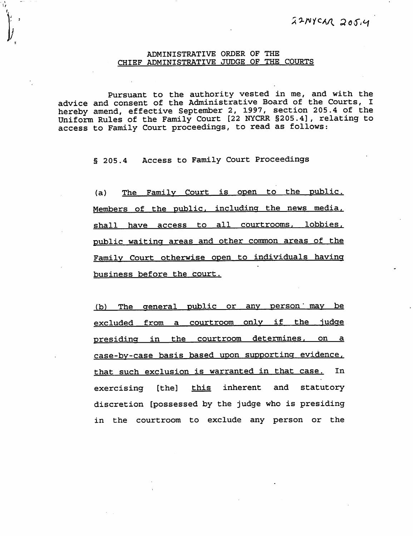## ADMINISTRATIVE ORDER OF THE CHIEF ADMINISTRATIVE JUDGE OF THE COURTS

I

Pursuant to the authority vested in me, and with the advice and consent of the Administrative Board of the Courts, I hereby amend, effective September 2, 1997, section 205.4 of the Uniform Rules of the Family Court [22 NYCRR §205.4], relating to access to Family Court proceedings, to read as follows:

§ 205.4 Access to Family Court Proceedings

(a) The Family Court is open to the public. Members of the public, including the news media, shall have access to all courtrooms, lobbies, public waiting areas and other common areas of the Family Court otherwise open to individuals having business before the court.

The general public or any person may be  $(b)$ excluded from a courtroom only if the judge presiding in the courtroom determines, on a case-by-case basis based upon supporting evidence, that such exclusion is warranted in that case. In exercising [the] this inherent and statutory discretion [possessed by the judge who is presiding in the courtroom to exclude any person or the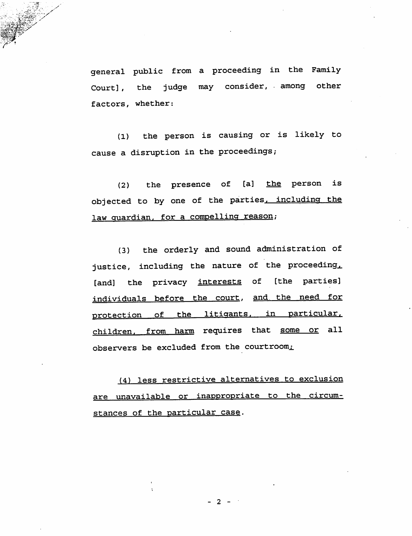general public from a proceeding in the Family Court], the judge may consider, among other factors, whether:

(1) the person is causing or is likely to cause a disruption in the proceedings;

 $(2)$  the presence of [a]  $the$  person is objected to by one of the parties, including the law quardian, for a compelling reason;

(3) the orderly and sound administration of justice, including the nature of the proceeding, [and] the privacy interests of [the parties] individuals before the court, and the need for protection of the litigants, in particular, children, from harm requires that some or all observers be excluded from the courtroom,

(4) less restrictive alternatives to exclusion are unavailable or inappropriate to the circumstances of the particular case.

 $-2$  -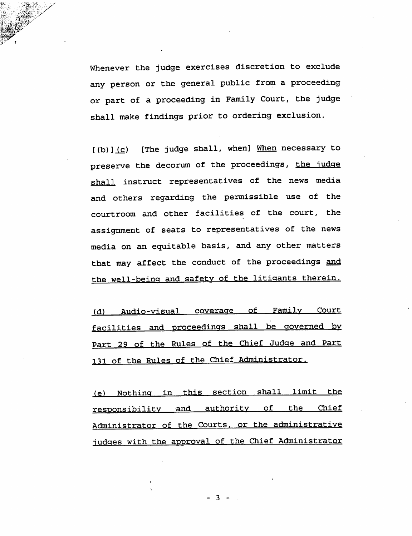Whenever the judge exercises discretion to exclude any person or the general public from a proceeding or part of a proceeding in Family Court, the judge shall make findings prior to ordering exclusion.

 $\mathbb{R}$  .  $\mathbb{R}$  .

 $[(b)](c)$  [The judge shall, when] When necessary to preserve the decorum of the proceedings, the judge shall instruct representatives of the news media and others regarding the permissible use of the courtroom and other facilities of the court, the assignment of seats to representatives of the news media on an equitable basis, and any other matters that may affect the conduct of the proceedings and the well-being and safety of the litigants therein.

(d) Audio-visual coverage of Family Court facilities and proceedings shall be governed by Part 29 of the Rules of the Chief Judge and Part 131 of the Rules of the Chief Administrator.

(e) Nothing in this section shall limit the responsibility and authority of the Chief Administrator of the Courts, or the administrative judges with the approval of the Chief Administrator

- 3 -